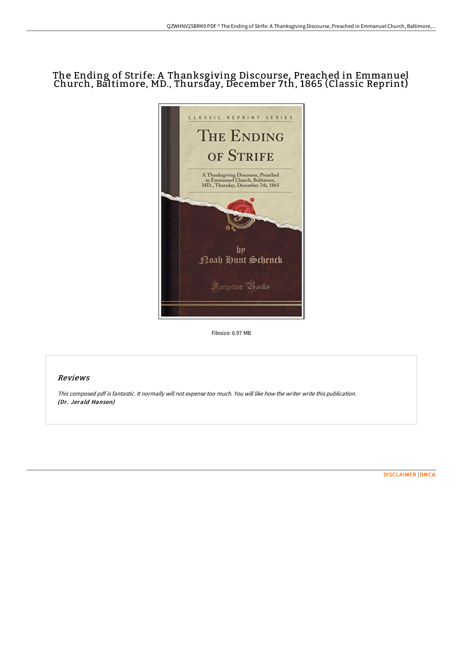# The Ending of Strife: A Thanksgiving Discourse, Preached in Emmanuel Church, Baltimore, MD., Thursday, December 7th, 1865 (Classic Reprint)



Filesize: 6.97 MB

# Reviews

This composed pdf is fantastic. It normally will not expense too much. You will like how the writer write this publication. (Dr. Jerald Hansen)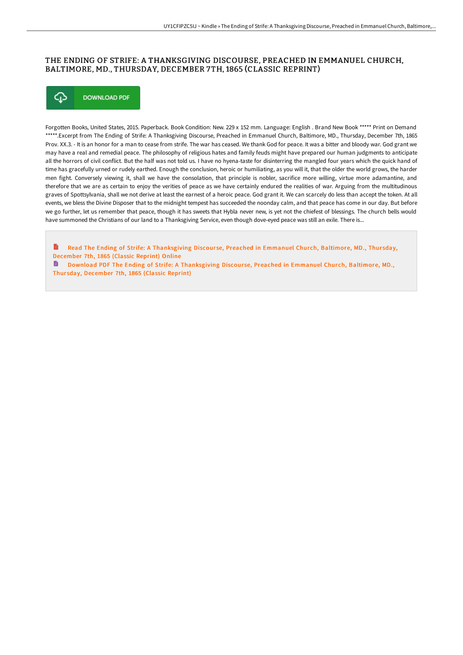## THE ENDING OF STRIFE: A THANKSGIVING DISCOURSE, PREACHED IN EMMANUEL CHURCH, BALTIMORE, MD., THURSDAY, DECEMBER 7TH, 1865 (CLASSIC REPRINT)



Forgotten Books, United States, 2015. Paperback. Book Condition: New. 229 x 152 mm. Language: English . Brand New Book \*\*\*\*\* Print on Demand \*\*\*\*\*.Excerpt from The Ending of Strife: A Thanksgiving Discourse, Preached in Emmanuel Church, Baltimore, MD., Thursday, December 7th, 1865 Prov. XX.3. - It is an honor for a man to cease from strife. The war has ceased. We thank God for peace. It was a bitter and bloody war. God grant we may have a real and remedial peace. The philosophy of religious hates and family feuds might have prepared our human judgments to anticipate all the horrors of civil conflict. But the half was not told us. I have no hyena-taste for disinterring the mangled four years which the quick hand of time has gracefully urned or rudely earthed. Enough the conclusion, heroic or humiliating, as you will it, that the older the world grows, the harder men fight. Conversely viewing it, shall we have the consolation, that principle is nobler, sacrifice more willing, virtue more adamantine, and therefore that we are as certain to enjoy the verities of peace as we have certainly endured the realities of war. Arguing from the multitudinous graves of Spottsylvania, shall we not derive at least the earnest of a heroic peace. God grant it. We can scarcely do less than accept the token. At all events, we bless the Divine Disposer that to the midnight tempest has succeeded the noonday calm, and that peace has come in our day. But before we go further, let us remember that peace, though it has sweets that Hybla never new, is yet not the chiefest of blessings. The church bells would have summoned the Christians of our land to a Thanksgiving Service, even though dove-eyed peace was still an exile. There is...

Read The Ending of Strife: A [Thanksgiving](http://techno-pub.tech/the-ending-of-strife-a-thanksgiving-discourse-pr.html) Discourse, Preached in Emmanuel Church, Baltimore, MD., Thursday, December 7th, 1865 (Classic Reprint) Online

**D** Download PDF The Ending of Strife: A [Thanksgiving](http://techno-pub.tech/the-ending-of-strife-a-thanksgiving-discourse-pr.html) Discourse, Preached in Emmanuel Church, Baltimore, MD., Thur sday, December 7th, 1865 (Classic Reprint)